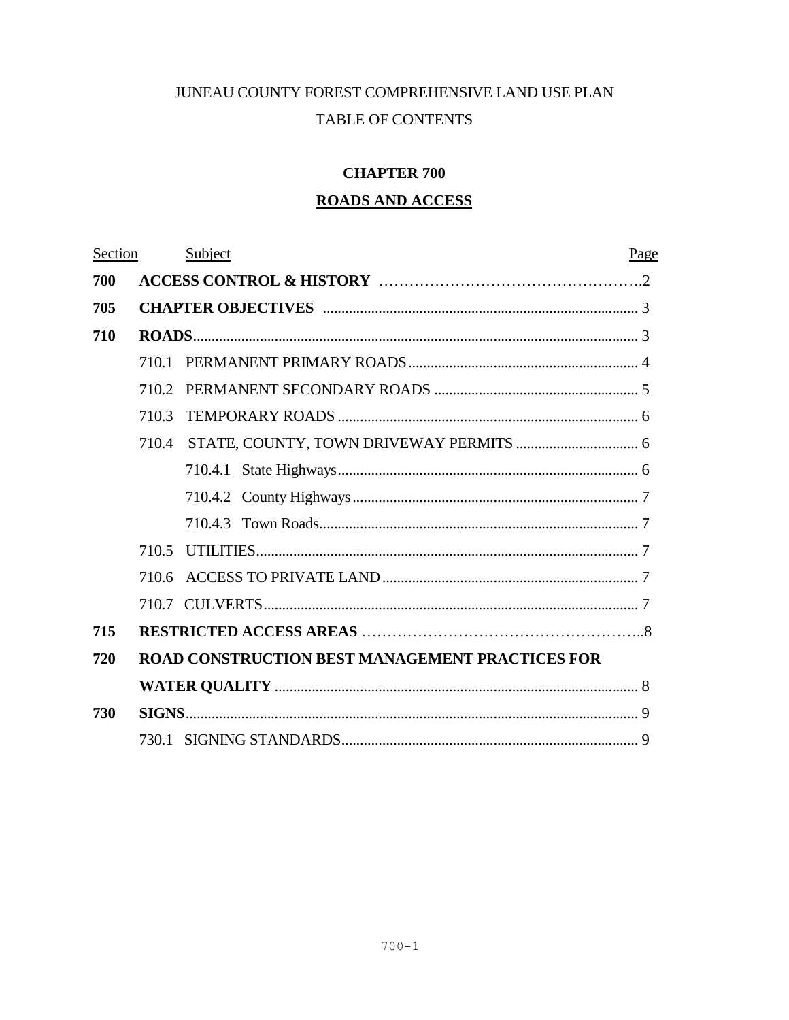# JUNEAU COUNTY FOREST COMPREHENSIVE LAND USE PLAN TABLE OF CONTENTS

# **CHAPTER 700**

# **ROADS AND ACCESS**

| Section |                                                        | Subject | Page |  |  |
|---------|--------------------------------------------------------|---------|------|--|--|
| 700     |                                                        |         |      |  |  |
| 705     |                                                        |         |      |  |  |
| 710     |                                                        |         |      |  |  |
|         |                                                        |         |      |  |  |
|         |                                                        |         |      |  |  |
|         | 710.3                                                  |         |      |  |  |
|         |                                                        |         |      |  |  |
|         |                                                        |         |      |  |  |
|         |                                                        |         |      |  |  |
|         |                                                        |         |      |  |  |
|         |                                                        |         |      |  |  |
|         |                                                        |         |      |  |  |
|         |                                                        |         |      |  |  |
| 715     |                                                        |         |      |  |  |
| 720     | <b>ROAD CONSTRUCTION BEST MANAGEMENT PRACTICES FOR</b> |         |      |  |  |
|         |                                                        |         |      |  |  |
| 730     |                                                        |         |      |  |  |
|         |                                                        |         |      |  |  |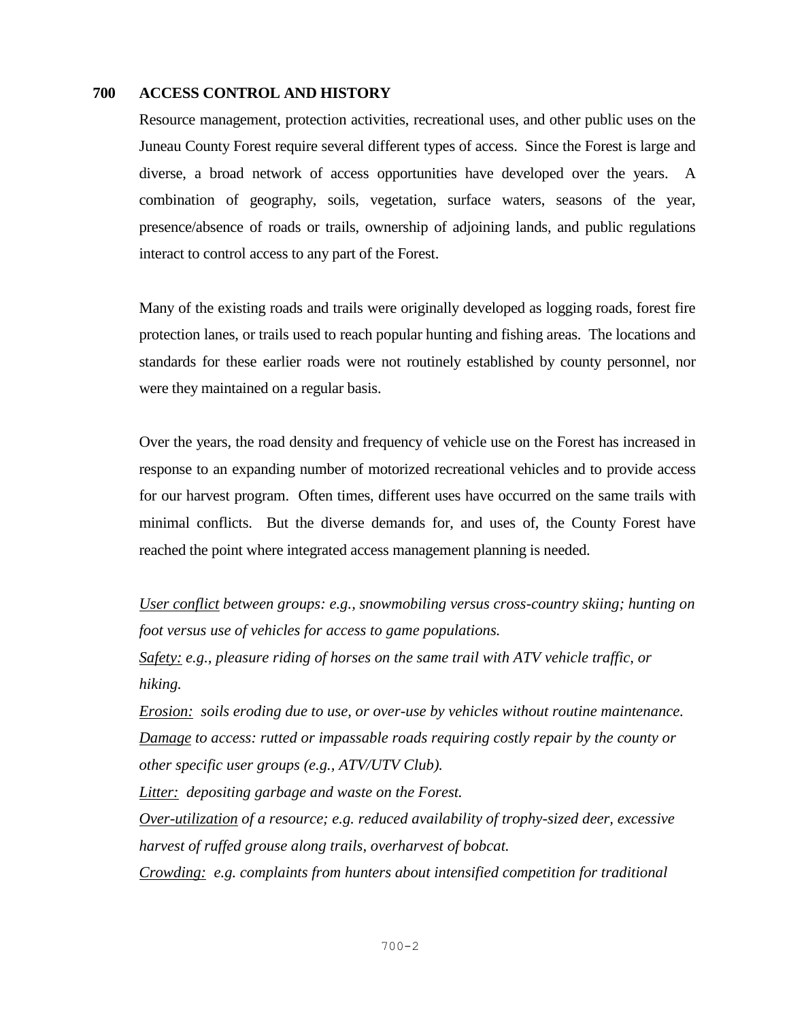### **700 ACCESS CONTROL AND HISTORY**

Resource management, protection activities, recreational uses, and other public uses on the Juneau County Forest require several different types of access. Since the Forest is large and diverse, a broad network of access opportunities have developed over the years. A combination of geography, soils, vegetation, surface waters, seasons of the year, presence/absence of roads or trails, ownership of adjoining lands, and public regulations interact to control access to any part of the Forest.

Many of the existing roads and trails were originally developed as logging roads, forest fire protection lanes, or trails used to reach popular hunting and fishing areas. The locations and standards for these earlier roads were not routinely established by county personnel, nor were they maintained on a regular basis.

Over the years, the road density and frequency of vehicle use on the Forest has increased in response to an expanding number of motorized recreational vehicles and to provide access for our harvest program. Often times, different uses have occurred on the same trails with minimal conflicts. But the diverse demands for, and uses of, the County Forest have reached the point where integrated access management planning is needed.

*User conflict between groups: e.g., snowmobiling versus cross-country skiing; hunting on foot versus use of vehicles for access to game populations.*

*Safety: e.g., pleasure riding of horses on the same trail with ATV vehicle traffic, or hiking.*

*Erosion: soils eroding due to use, or over-use by vehicles without routine maintenance. Damage to access: rutted or impassable roads requiring costly repair by the county or other specific user groups (e.g., ATV/UTV Club).*

*Litter: depositing garbage and waste on the Forest.*

*Over-utilization of a resource; e.g. reduced availability of trophy-sized deer, excessive harvest of ruffed grouse along trails, overharvest of bobcat.*

*Crowding: e.g. complaints from hunters about intensified competition for traditional*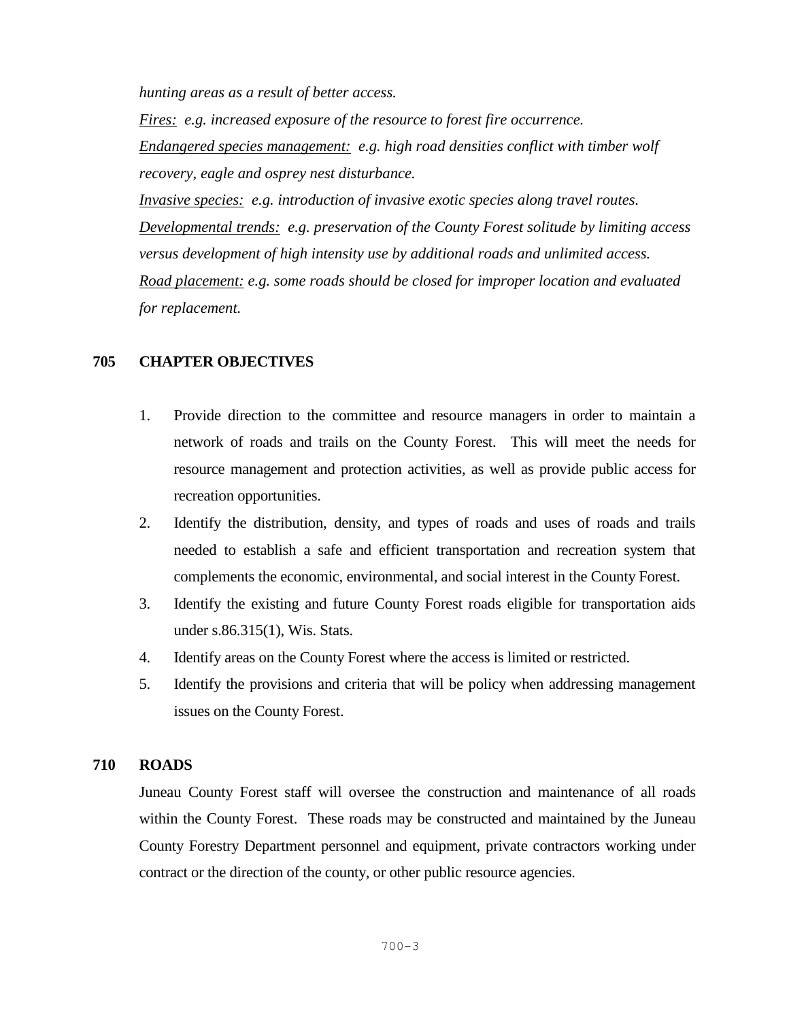*hunting areas as a result of better access.* 

*Fires: e.g. increased exposure of the resource to forest fire occurrence. Endangered species management: e.g. high road densities conflict with timber wolf recovery, eagle and osprey nest disturbance.* 

*Invasive species: e.g. introduction of invasive exotic species along travel routes. Developmental trends: e.g. preservation of the County Forest solitude by limiting access versus development of high intensity use by additional roads and unlimited access. Road placement: e.g. some roads should be closed for improper location and evaluated for replacement.*

# **705 CHAPTER OBJECTIVES**

- 1. Provide direction to the committee and resource managers in order to maintain a network of roads and trails on the County Forest. This will meet the needs for resource management and protection activities, as well as provide public access for recreation opportunities.
- 2. Identify the distribution, density, and types of roads and uses of roads and trails needed to establish a safe and efficient transportation and recreation system that complements the economic, environmental, and social interest in the County Forest.
- 3. Identify the existing and future County Forest roads eligible for transportation aids under s.86.315(1), Wis. Stats.
- 4. Identify areas on the County Forest where the access is limited or restricted.
- 5. Identify the provisions and criteria that will be policy when addressing management issues on the County Forest.

### **710 ROADS**

Juneau County Forest staff will oversee the construction and maintenance of all roads within the County Forest. These roads may be constructed and maintained by the Juneau County Forestry Department personnel and equipment, private contractors working under contract or the direction of the county, or other public resource agencies.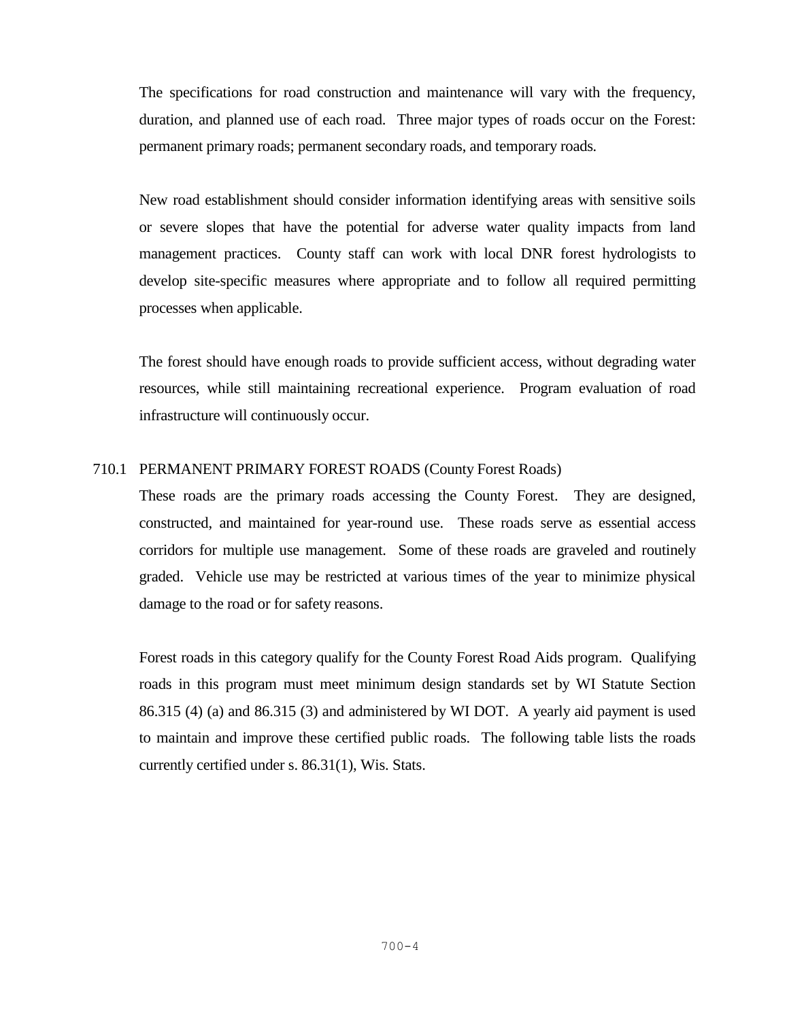The specifications for road construction and maintenance will vary with the frequency, duration, and planned use of each road. Three major types of roads occur on the Forest: permanent primary roads; permanent secondary roads, and temporary roads*.* 

New road establishment should consider information identifying areas with sensitive soils or severe slopes that have the potential for adverse water quality impacts from land management practices. County staff can work with local DNR forest hydrologists to develop site-specific measures where appropriate and to follow all required permitting processes when applicable.

The forest should have enough roads to provide sufficient access, without degrading water resources, while still maintaining recreational experience. Program evaluation of road infrastructure will continuously occur.

### 710.1 PERMANENT PRIMARY FOREST ROADS (County Forest Roads)

These roads are the primary roads accessing the County Forest. They are designed, constructed, and maintained for year-round use. These roads serve as essential access corridors for multiple use management. Some of these roads are graveled and routinely graded. Vehicle use may be restricted at various times of the year to minimize physical damage to the road or for safety reasons.

Forest roads in this category qualify for the County Forest Road Aids program. Qualifying roads in this program must meet minimum design standards set by WI Statute Section 86.315 (4) (a) and 86.315 (3) and administered by WI DOT. A yearly aid payment is used to maintain and improve these certified public roads. The following table lists the roads currently certified under s. 86.31(1), Wis. Stats.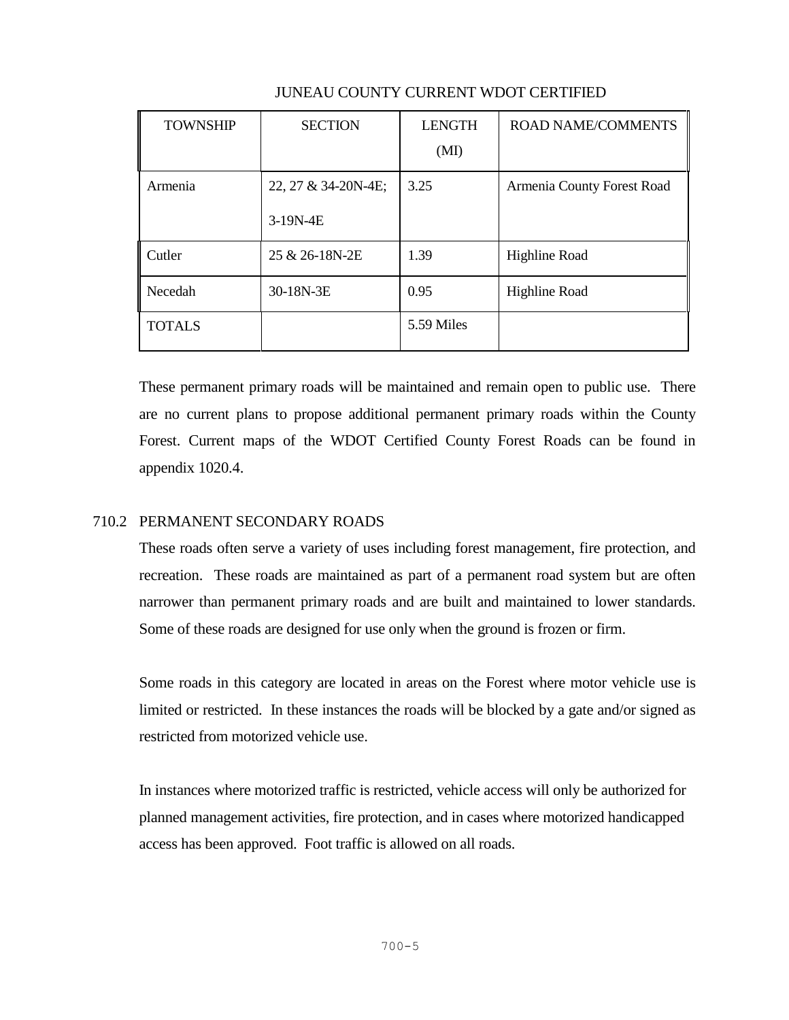| <b>TOWNSHIP</b> | <b>SECTION</b>      | <b>LENGTH</b> | <b>ROAD NAME/COMMENTS</b>  |
|-----------------|---------------------|---------------|----------------------------|
|                 |                     | (MI)          |                            |
| Armenia         | 22, 27 & 34-20N-4E; | 3.25          | Armenia County Forest Road |
|                 | 3-19N-4E            |               |                            |
| Cutler          | 25 & 26-18N-2E      | 1.39          | Highline Road              |
| Necedah         | 30-18N-3E           | 0.95          | Highline Road              |
| <b>TOTALS</b>   |                     | 5.59 Miles    |                            |

# JUNEAU COUNTY CURRENT WDOT CERTIFIED

These permanent primary roads will be maintained and remain open to public use. There are no current plans to propose additional permanent primary roads within the County Forest. Current maps of the WDOT Certified County Forest Roads can be found in appendix 1020.4.

# 710.2 PERMANENT SECONDARY ROADS

These roads often serve a variety of uses including forest management, fire protection, and recreation. These roads are maintained as part of a permanent road system but are often narrower than permanent primary roads and are built and maintained to lower standards. Some of these roads are designed for use only when the ground is frozen or firm.

Some roads in this category are located in areas on the Forest where motor vehicle use is limited or restricted. In these instances the roads will be blocked by a gate and/or signed as restricted from motorized vehicle use.

In instances where motorized traffic is restricted, vehicle access will only be authorized for planned management activities, fire protection, and in cases where motorized handicapped access has been approved. Foot traffic is allowed on all roads.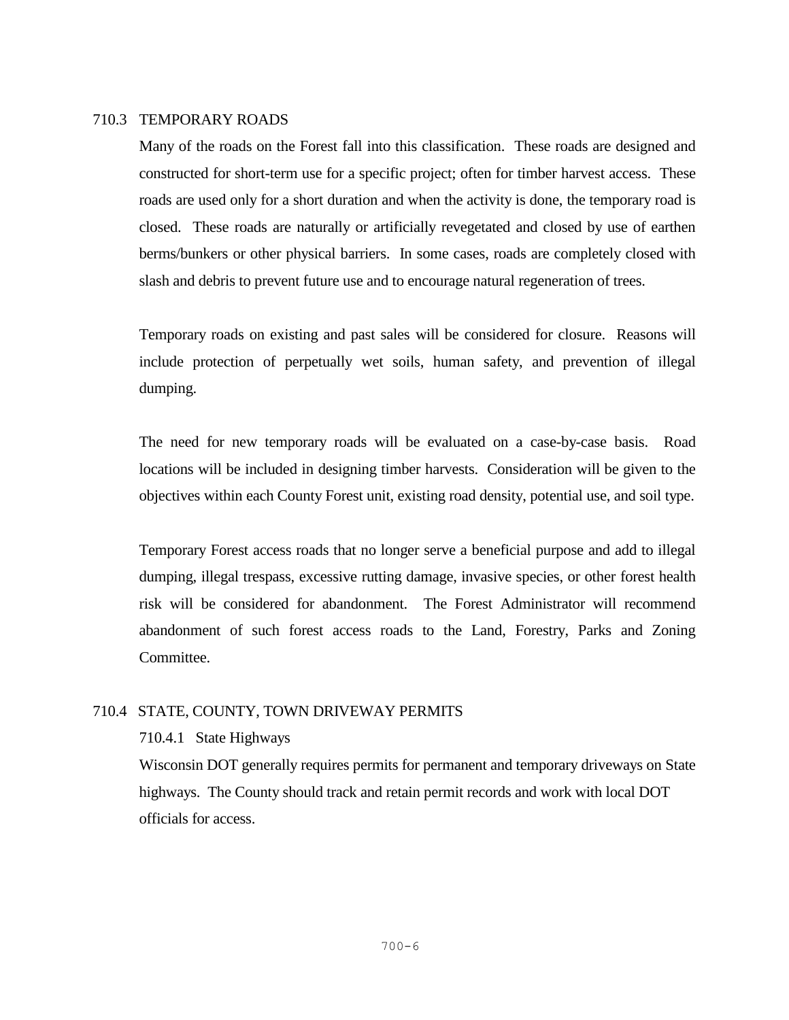#### 710.3 TEMPORARY ROADS

Many of the roads on the Forest fall into this classification. These roads are designed and constructed for short-term use for a specific project; often for timber harvest access. These roads are used only for a short duration and when the activity is done, the temporary road is closed. These roads are naturally or artificially revegetated and closed by use of earthen berms/bunkers or other physical barriers. In some cases, roads are completely closed with slash and debris to prevent future use and to encourage natural regeneration of trees.

Temporary roads on existing and past sales will be considered for closure. Reasons will include protection of perpetually wet soils, human safety, and prevention of illegal dumping.

The need for new temporary roads will be evaluated on a case-by-case basis. Road locations will be included in designing timber harvests. Consideration will be given to the objectives within each County Forest unit, existing road density, potential use, and soil type.

Temporary Forest access roads that no longer serve a beneficial purpose and add to illegal dumping, illegal trespass, excessive rutting damage, invasive species, or other forest health risk will be considered for abandonment. The Forest Administrator will recommend abandonment of such forest access roads to the Land, Forestry, Parks and Zoning Committee.

### 710.4 STATE, COUNTY, TOWN DRIVEWAY PERMITS

#### 710.4.1 State Highways

Wisconsin DOT generally requires permits for permanent and temporary driveways on State highways. The County should track and retain permit records and work with local DOT officials for access.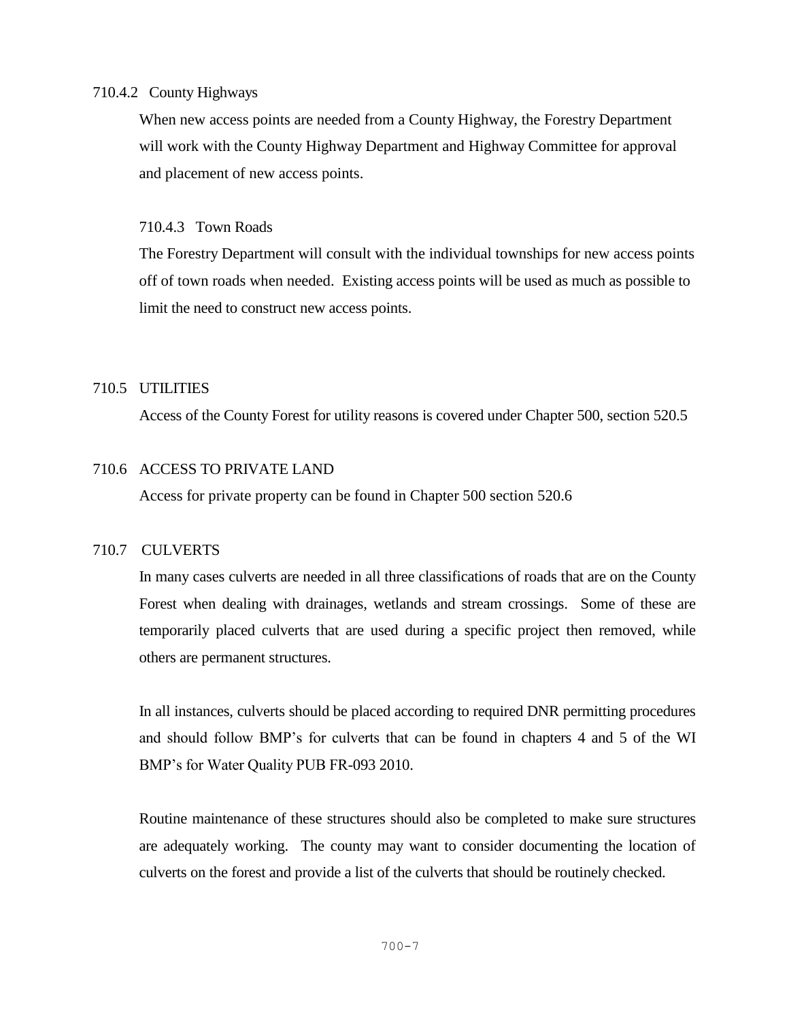### 710.4.2 County Highways

When new access points are needed from a County Highway, the Forestry Department will work with the County Highway Department and Highway Committee for approval and placement of new access points.

## 710.4.3 Town Roads

The Forestry Department will consult with the individual townships for new access points off of town roads when needed. Existing access points will be used as much as possible to limit the need to construct new access points.

# 710.5 UTILITIES

Access of the County Forest for utility reasons is covered under Chapter 500, section 520.5

# 710.6 ACCESS TO PRIVATE LAND

Access for private property can be found in Chapter 500 section 520.6

# 710.7 CULVERTS

In many cases culverts are needed in all three classifications of roads that are on the County Forest when dealing with drainages, wetlands and stream crossings. Some of these are temporarily placed culverts that are used during a specific project then removed, while others are permanent structures.

In all instances, culverts should be placed according to required DNR permitting procedures and should follow BMP's for culverts that can be found in chapters 4 and 5 of the WI BMP's for Water Quality PUB FR-093 2010.

Routine maintenance of these structures should also be completed to make sure structures are adequately working. The county may want to consider documenting the location of culverts on the forest and provide a list of the culverts that should be routinely checked.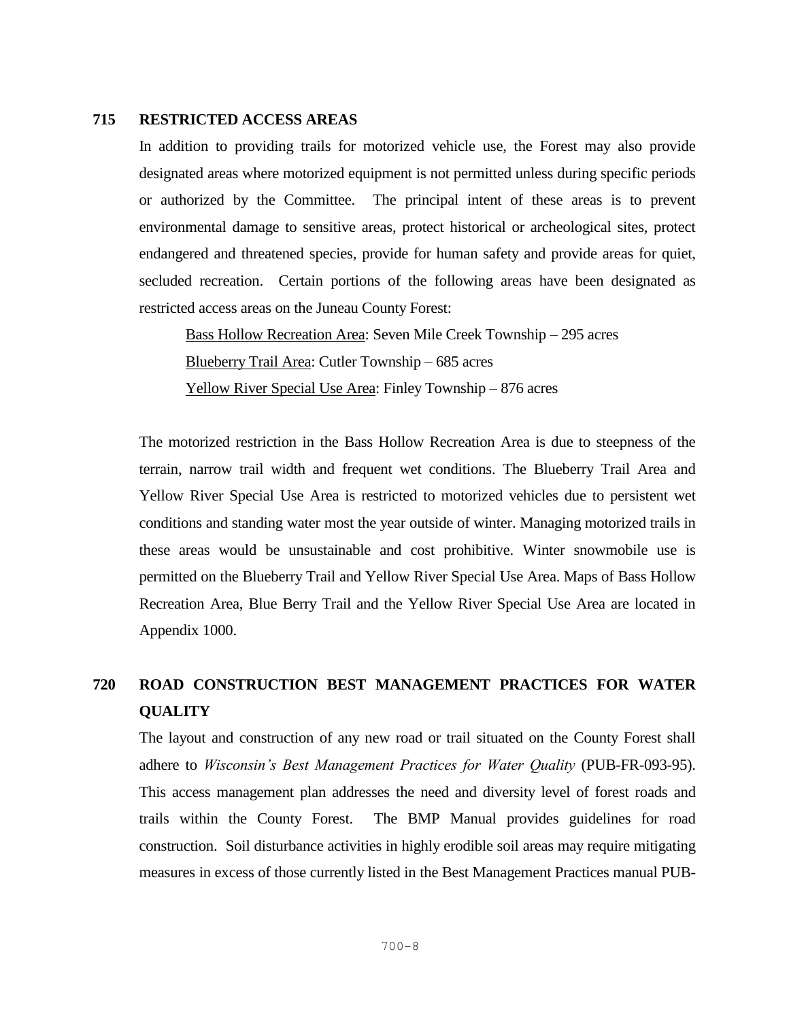#### **715 RESTRICTED ACCESS AREAS**

In addition to providing trails for motorized vehicle use, the Forest may also provide designated areas where motorized equipment is not permitted unless during specific periods or authorized by the Committee. The principal intent of these areas is to prevent environmental damage to sensitive areas, protect historical or archeological sites, protect endangered and threatened species, provide for human safety and provide areas for quiet, secluded recreation. Certain portions of the following areas have been designated as restricted access areas on the Juneau County Forest:

Bass Hollow Recreation Area: Seven Mile Creek Township – 295 acres Blueberry Trail Area: Cutler Township – 685 acres Yellow River Special Use Area: Finley Township – 876 acres

The motorized restriction in the Bass Hollow Recreation Area is due to steepness of the terrain, narrow trail width and frequent wet conditions. The Blueberry Trail Area and Yellow River Special Use Area is restricted to motorized vehicles due to persistent wet conditions and standing water most the year outside of winter. Managing motorized trails in these areas would be unsustainable and cost prohibitive. Winter snowmobile use is permitted on the Blueberry Trail and Yellow River Special Use Area. Maps of Bass Hollow Recreation Area, Blue Berry Trail and the Yellow River Special Use Area are located in Appendix 1000.

# **720 ROAD CONSTRUCTION BEST MANAGEMENT PRACTICES FOR WATER QUALITY**

The layout and construction of any new road or trail situated on the County Forest shall adhere to *Wisconsin's Best Management Practices for Water Quality* (PUB-FR-093-95). This access management plan addresses the need and diversity level of forest roads and trails within the County Forest. The BMP Manual provides guidelines for road construction. Soil disturbance activities in highly erodible soil areas may require mitigating measures in excess of those currently listed in the Best Management Practices manual PUB-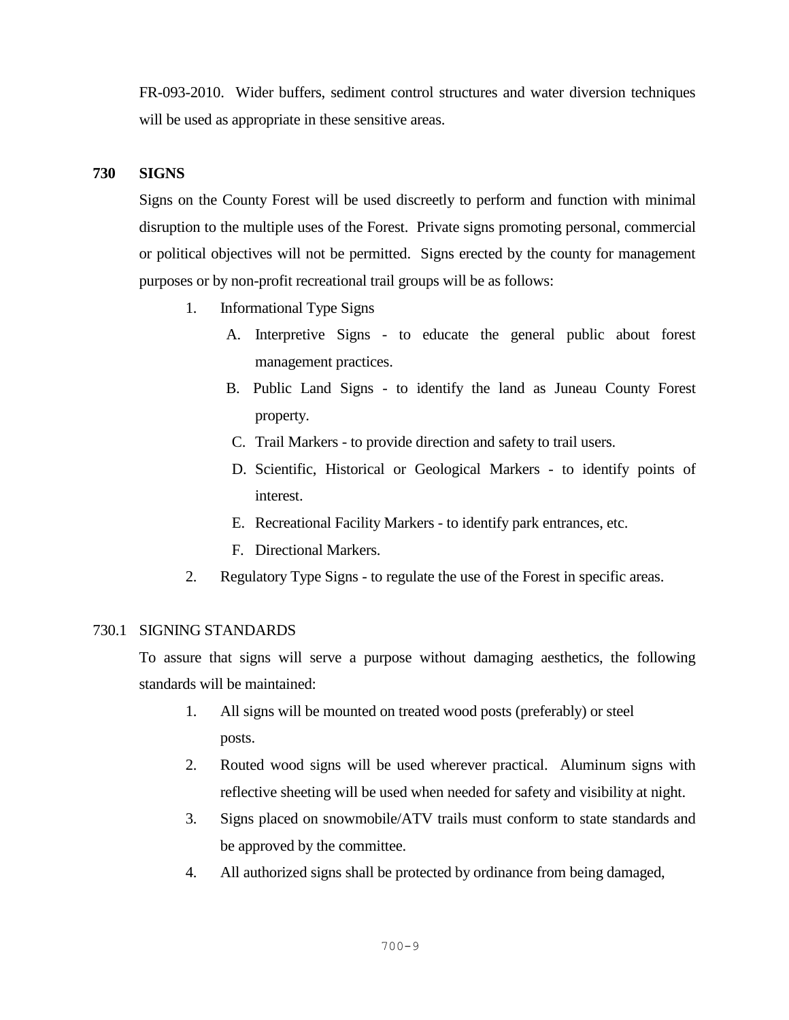FR-093-2010. Wider buffers, sediment control structures and water diversion techniques will be used as appropriate in these sensitive areas.

# **730 SIGNS**

Signs on the County Forest will be used discreetly to perform and function with minimal disruption to the multiple uses of the Forest. Private signs promoting personal, commercial or political objectives will not be permitted. Signs erected by the county for management purposes or by non-profit recreational trail groups will be as follows:

- 1. Informational Type Signs
	- A. Interpretive Signs to educate the general public about forest management practices.
	- B. Public Land Signs to identify the land as Juneau County Forest property.
	- C. Trail Markers to provide direction and safety to trail users.
	- D. Scientific, Historical or Geological Markers to identify points of interest.
	- E. Recreational Facility Markers to identify park entrances, etc.
	- F. Directional Markers.
- 2. Regulatory Type Signs to regulate the use of the Forest in specific areas.

### 730.1 SIGNING STANDARDS

To assure that signs will serve a purpose without damaging aesthetics, the following standards will be maintained:

- 1. All signs will be mounted on treated wood posts (preferably) or steel posts.
- 2. Routed wood signs will be used wherever practical. Aluminum signs with reflective sheeting will be used when needed for safety and visibility at night.
- 3. Signs placed on snowmobile/ATV trails must conform to state standards and be approved by the committee.
- 4. All authorized signs shall be protected by ordinance from being damaged,